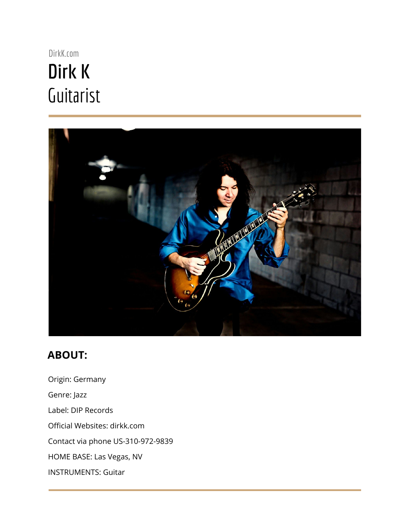# DirkK.com **Dirk K** Guitarist



# **ABOUT:**

Origin: Germany Genre: Jazz Label: DIP Records Official Websites: dirkk.com Contact via phone US-310-972-9839 HOME BASE: Las Vegas, NV INSTRUMENTS: Guitar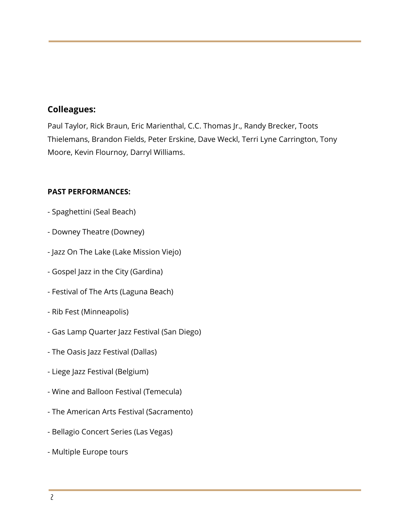## **Colleagues:**

Paul Taylor, Rick Braun, Eric Marienthal, C.C. Thomas Jr., Randy Brecker, Toots Thielemans, Brandon Fields, Peter Erskine, Dave Weckl, Terri Lyne Carrington, Tony Moore, Kevin Flournoy, Darryl Williams.

### **PAST PERFORMANCES:**

- Spaghettini (Seal Beach)
- Downey Theatre (Downey)
- Jazz On The Lake (Lake Mission Viejo)
- Gospel Jazz in the City (Gardina)
- Festival of The Arts (Laguna Beach)
- Rib Fest (Minneapolis)
- Gas Lamp Quarter Jazz Festival (San Diego)
- The Oasis Jazz Festival (Dallas)
- Liege Jazz Festival (Belgium)
- Wine and Balloon Festival (Temecula)
- The American Arts Festival (Sacramento)
- Bellagio Concert Series (Las Vegas)
- Multiple Europe tours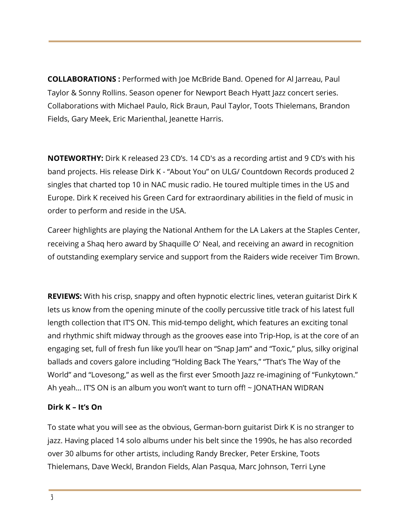**COLLABORATIONS :** Performed with Joe McBride Band. Opened for Al Jarreau, Paul Taylor & Sonny Rollins. Season opener for Newport Beach Hyatt Jazz concert series. Collaborations with Michael Paulo, Rick Braun, Paul Taylor, Toots Thielemans, Brandon Fields, Gary Meek, Eric Marienthal, Jeanette Harris.

**NOTEWORTHY:** Dirk K released 23 CD's. 14 CD's as a recording artist and 9 CD's with his band projects. His release Dirk K - "About You" on ULG/ Countdown Records produced 2 singles that charted top 10 in NAC music radio. He toured multiple times in the US and Europe. Dirk K received his Green Card for extraordinary abilities in the field of music in order to perform and reside in the USA.

Career highlights are playing the National Anthem for the LA Lakers at the Staples Center, receiving a Shaq hero award by Shaquille O' Neal, and receiving an award in recognition of outstanding exemplary service and support from the Raiders wide receiver Tim Brown.

**REVIEWS:** With his crisp, snappy and often hypnotic electric lines, veteran guitarist Dirk K lets us know from the opening minute of the coolly percussive title track of his latest full length collection that IT'S ON. This mid-tempo delight, which features an exciting tonal and rhythmic shift midway through as the grooves ease into Trip-Hop, is at the core of an engaging set, full of fresh fun like you'll hear on "Snap Jam" and "Toxic," plus, silky original ballads and covers galore including "Holding Back The Years," "That's The Way of the World" and "Lovesong," as well as the first ever Smooth Jazz re-imagining of "Funkytown." Ah yeah… IT'S ON is an album you won't want to turn off! ~ JONATHAN WIDRAN

### **Dirk K – It's On**

To state what you will see as the obvious, German-born guitarist Dirk K is no stranger to jazz. Having placed 14 solo albums under his belt since the 1990s, he has also recorded over 30 albums for other artists, including Randy Brecker, Peter Erskine, Toots Thielemans, Dave Weckl, Brandon Fields, Alan Pasqua, Marc Johnson, Terri Lyne